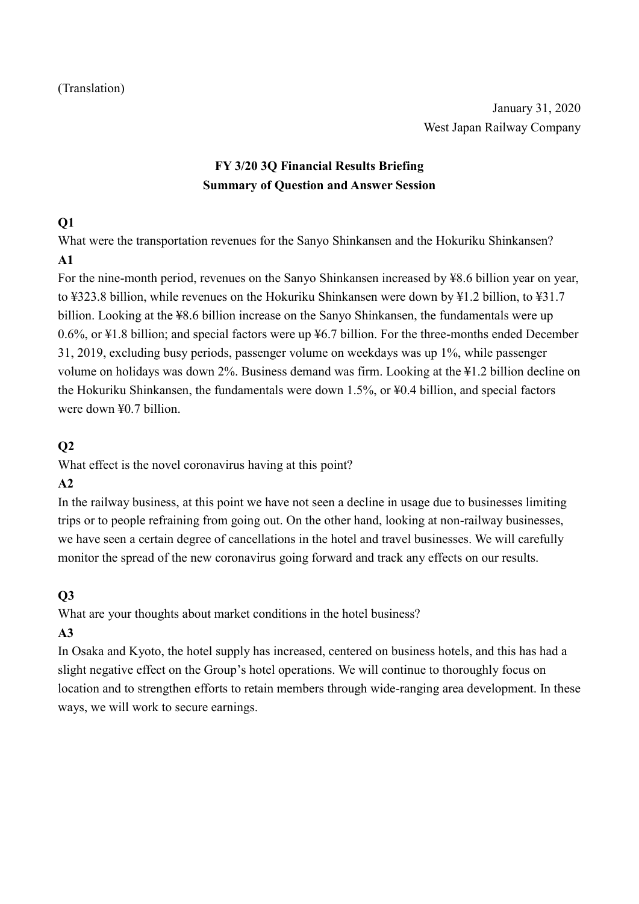# **FY 3/20 3Q Financial Results Briefing Summary of Question and Answer Session**

#### **Q1**

What were the transportation revenues for the Sanyo Shinkansen and the Hokuriku Shinkansen? **A1**

For the nine-month period, revenues on the Sanyo Shinkansen increased by ¥8.6 billion year on year, to ¥323.8 billion, while revenues on the Hokuriku Shinkansen were down by ¥1.2 billion, to ¥31.7 billion. Looking at the ¥8.6 billion increase on the Sanyo Shinkansen, the fundamentals were up 0.6%, or ¥1.8 billion; and special factors were up ¥6.7 billion. For the three-months ended December 31, 2019, excluding busy periods, passenger volume on weekdays was up 1%, while passenger volume on holidays was down 2%. Business demand was firm. Looking at the ¥1.2 billion decline on the Hokuriku Shinkansen, the fundamentals were down 1.5%, or ¥0.4 billion, and special factors were down ¥0.7 billion.

### **Q2**

What effect is the novel coronavirus having at this point?

## **A2**

In the railway business, at this point we have not seen a decline in usage due to businesses limiting trips or to people refraining from going out. On the other hand, looking at non-railway businesses, we have seen a certain degree of cancellations in the hotel and travel businesses. We will carefully monitor the spread of the new coronavirus going forward and track any effects on our results.

## **Q3**

What are your thoughts about market conditions in the hotel business?

## **A3**

In Osaka and Kyoto, the hotel supply has increased, centered on business hotels, and this has had a slight negative effect on the Group's hotel operations. We will continue to thoroughly focus on location and to strengthen efforts to retain members through wide-ranging area development. In these ways, we will work to secure earnings.